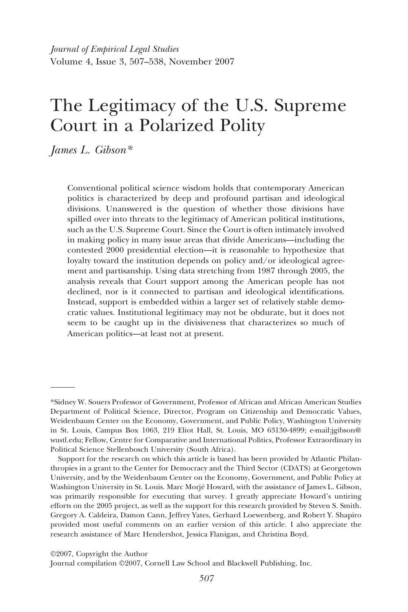# The Legitimacy of the U.S. Supreme Court in a Polarized Polity

*James L. Gibson\**

Conventional political science wisdom holds that contemporary American politics is characterized by deep and profound partisan and ideological divisions. Unanswered is the question of whether those divisions have spilled over into threats to the legitimacy of American political institutions, such as the U.S. Supreme Court. Since the Court is often intimately involved in making policy in many issue areas that divide Americans—including the contested 2000 presidential election—it is reasonable to hypothesize that loyalty toward the institution depends on policy and/or ideological agreement and partisanship. Using data stretching from 1987 through 2005, the analysis reveals that Court support among the American people has not declined, nor is it connected to partisan and ideological identifications. Instead, support is embedded within a larger set of relatively stable democratic values. Institutional legitimacy may not be obdurate, but it does not seem to be caught up in the divisiveness that characterizes so much of American politics—at least not at present.

©2007, Copyright the Author

Journal compilation ©2007, Cornell Law School and Blackwell Publishing, Inc.

<sup>\*</sup>Sidney W. Souers Professor of Government, Professor of African and African American Studies Department of Political Science, Director, Program on Citizenship and Democratic Values, Weidenbaum Center on the Economy, Government, and Public Policy, Washington University in St. Louis, Campus Box 1063, 219 Eliot Hall, St. Louis, MO 63130-4899; e-mail:jgibson@ wustl.edu; Fellow, Centre for Comparative and International Politics, Professor Extraordinary in Political Science Stellenbosch University (South Africa).

Support for the research on which this article is based has been provided by Atlantic Philanthropies in a grant to the Center for Democracy and the Third Sector (CDATS) at Georgetown University, and by the Weidenbaum Center on the Economy, Government, and Public Policy at Washington University in St. Louis. Marc Morjé Howard, with the assistance of James L. Gibson, was primarily responsible for executing that survey. I greatly appreciate Howard's untiring efforts on the 2005 project, as well as the support for this research provided by Steven S. Smith. Gregory A. Caldeira, Damon Cann, Jeffrey Yates, Gerhard Loewenberg, and Robert Y. Shapiro provided most useful comments on an earlier version of this article. I also appreciate the research assistance of Marc Hendershot, Jessica Flanigan, and Christina Boyd.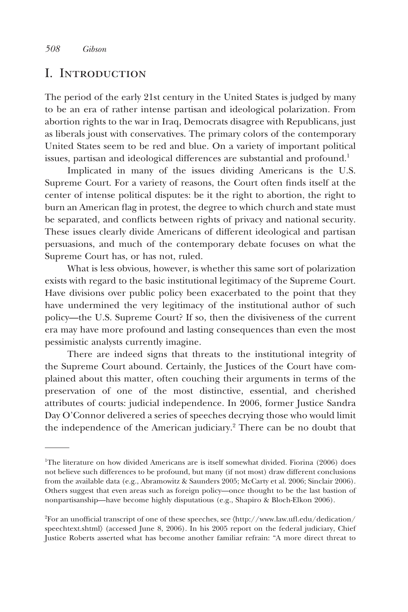# I. Introduction

The period of the early 21st century in the United States is judged by many to be an era of rather intense partisan and ideological polarization. From abortion rights to the war in Iraq, Democrats disagree with Republicans, just as liberals joust with conservatives. The primary colors of the contemporary United States seem to be red and blue. On a variety of important political issues, partisan and ideological differences are substantial and profound.<sup>1</sup>

Implicated in many of the issues dividing Americans is the U.S. Supreme Court. For a variety of reasons, the Court often finds itself at the center of intense political disputes: be it the right to abortion, the right to burn an American flag in protest, the degree to which church and state must be separated, and conflicts between rights of privacy and national security. These issues clearly divide Americans of different ideological and partisan persuasions, and much of the contemporary debate focuses on what the Supreme Court has, or has not, ruled.

What is less obvious, however, is whether this same sort of polarization exists with regard to the basic institutional legitimacy of the Supreme Court. Have divisions over public policy been exacerbated to the point that they have undermined the very legitimacy of the institutional author of such policy—the U.S. Supreme Court? If so, then the divisiveness of the current era may have more profound and lasting consequences than even the most pessimistic analysts currently imagine.

There are indeed signs that threats to the institutional integrity of the Supreme Court abound. Certainly, the Justices of the Court have complained about this matter, often couching their arguments in terms of the preservation of one of the most distinctive, essential, and cherished attributes of courts: judicial independence. In 2006, former Justice Sandra Day O'Connor delivered a series of speeches decrying those who would limit the independence of the American judiciary.<sup>2</sup> There can be no doubt that

<sup>1</sup> The literature on how divided Americans are is itself somewhat divided. Fiorina (2006) does not believe such differences to be profound, but many (if not most) draw different conclusions from the available data (e.g., Abramowitz & Saunders 2005; McCarty et al. 2006; Sinclair 2006). Others suggest that even areas such as foreign policy—once thought to be the last bastion of nonpartisanship—have become highly disputatious (e.g., Shapiro & Bloch-Elkon 2006).

<sup>2</sup> For an unofficial transcript of one of these speeches, see 〈[http://www.law.ufl.edu/dedication/](http://www.law.ufl.edu/dedication) speechtext.shtml $\}$  (accessed June 8, 2006). In his 2005 report on the federal judiciary, Chief Justice Roberts asserted what has become another familiar refrain: "A more direct threat to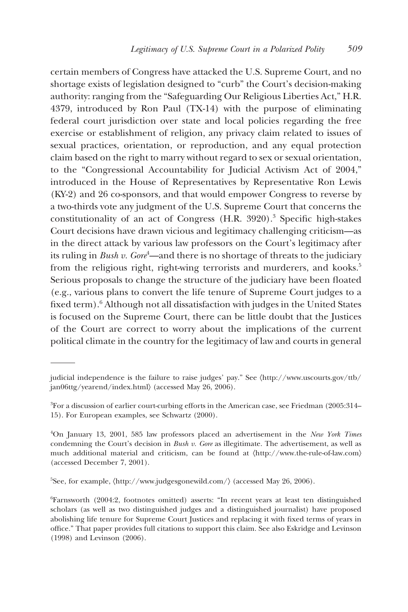certain members of Congress have attacked the U.S. Supreme Court, and no shortage exists of legislation designed to "curb" the Court's decision-making authority: ranging from the "Safeguarding Our Religious Liberties Act," H.R. 4379, introduced by Ron Paul (TX-14) with the purpose of eliminating federal court jurisdiction over state and local policies regarding the free exercise or establishment of religion, any privacy claim related to issues of sexual practices, orientation, or reproduction, and any equal protection claim based on the right to marry without regard to sex or sexual orientation, to the "Congressional Accountability for Judicial Activism Act of 2004," introduced in the House of Representatives by Representative Ron Lewis (KY-2) and 26 co-sponsors, and that would empower Congress to reverse by a two-thirds vote any judgment of the U.S. Supreme Court that concerns the constitutionality of an act of Congress (H.R. 3920).<sup>3</sup> Specific high-stakes Court decisions have drawn vicious and legitimacy challenging criticism—as in the direct attack by various law professors on the Court's legitimacy after its ruling in *Bush v. Gore*<sup>4</sup>—and there is no shortage of threats to the judiciary from the religious right, right-wing terrorists and murderers, and kooks.<sup>5</sup> Serious proposals to change the structure of the judiciary have been floated (e.g., various plans to convert the life tenure of Supreme Court judges to a fixed term).<sup>6</sup> Although not all dissatisfaction with judges in the United States is focused on the Supreme Court, there can be little doubt that the Justices of the Court are correct to worry about the implications of the current political climate in the country for the legitimacy of law and courts in general

5 See, for example, 〈[http://www.judgesgonewild.com/](http://www.judgesgonewild.com/%E2%8C%AA)〉 (accessed May 26, 2006).

judicial independence is the failure to raise judges' pay." See 〈[http://www.uscourts.gov/ttb/](http://www.uscourts.gov/ttb) jan06ttg/yearend/index.html〉 (accessed May 26, 2006).

 ${}^{3}\!$ For a discussion of earlier court-curbing efforts in the American case, see Friedman (2005:314– 15). For European examples, see Schwartz (2000).

<sup>4</sup> On January 13, 2001, 585 law professors placed an advertisement in the *New York Times* condemning the Court's decision in *Bush v. Gore* as illegitimate. The advertisement, as well as much additional material and criticism, can be found at 〈[http://www.the-rule-of-law.com](http://www.the-rule-of-law.com%E2%8C%AA)〉 (accessed December 7, 2001).

<sup>6</sup> Farnsworth (2004:2, footnotes omitted) asserts: "In recent years at least ten distinguished scholars (as well as two distinguished judges and a distinguished journalist) have proposed abolishing life tenure for Supreme Court Justices and replacing it with fixed terms of years in office." That paper provides full citations to support this claim. See also Eskridge and Levinson (1998) and Levinson (2006).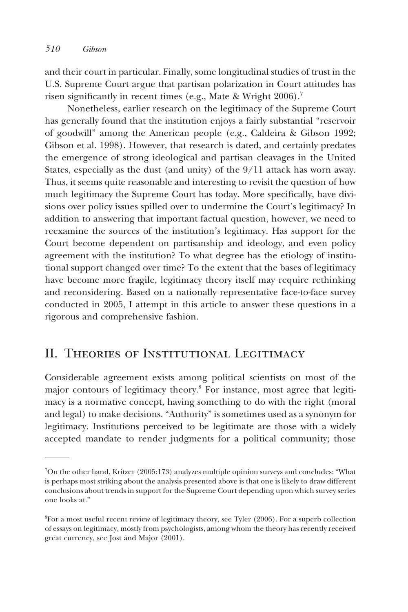and their court in particular. Finally, some longitudinal studies of trust in the U.S. Supreme Court argue that partisan polarization in Court attitudes has risen significantly in recent times (e.g., Mate & Wright 2006).<sup>7</sup>

Nonetheless, earlier research on the legitimacy of the Supreme Court has generally found that the institution enjoys a fairly substantial "reservoir of goodwill" among the American people (e.g., Caldeira & Gibson 1992; Gibson et al. 1998). However, that research is dated, and certainly predates the emergence of strong ideological and partisan cleavages in the United States, especially as the dust (and unity) of the 9/11 attack has worn away. Thus, it seems quite reasonable and interesting to revisit the question of how much legitimacy the Supreme Court has today. More specifically, have divisions over policy issues spilled over to undermine the Court's legitimacy? In addition to answering that important factual question, however, we need to reexamine the sources of the institution's legitimacy. Has support for the Court become dependent on partisanship and ideology, and even policy agreement with the institution? To what degree has the etiology of institutional support changed over time? To the extent that the bases of legitimacy have become more fragile, legitimacy theory itself may require rethinking and reconsidering. Based on a nationally representative face-to-face survey conducted in 2005, I attempt in this article to answer these questions in a rigorous and comprehensive fashion.

# II. Theories of Institutional Legitimacy

Considerable agreement exists among political scientists on most of the major contours of legitimacy theory.8 For instance, most agree that legitimacy is a normative concept, having something to do with the right (moral and legal) to make decisions. "Authority" is sometimes used as a synonym for legitimacy. Institutions perceived to be legitimate are those with a widely accepted mandate to render judgments for a political community; those

 $^7$ On the other hand, Kritzer (2005:173) analyzes multiple opinion surveys and concludes: "What is perhaps most striking about the analysis presented above is that one is likely to draw different conclusions about trends in support for the Supreme Court depending upon which survey series one looks at."

<sup>8</sup> For a most useful recent review of legitimacy theory, see Tyler (2006). For a superb collection of essays on legitimacy, mostly from psychologists, among whom the theory has recently received great currency, see Jost and Major (2001).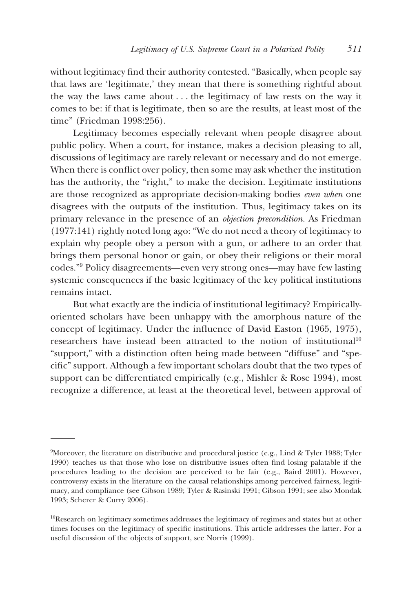without legitimacy find their authority contested. "Basically, when people say that laws are 'legitimate,' they mean that there is something rightful about the way the laws came about . . . the legitimacy of law rests on the way it comes to be: if that is legitimate, then so are the results, at least most of the time" (Friedman 1998:256).

Legitimacy becomes especially relevant when people disagree about public policy. When a court, for instance, makes a decision pleasing to all, discussions of legitimacy are rarely relevant or necessary and do not emerge. When there is conflict over policy, then some may ask whether the institution has the authority, the "right," to make the decision. Legitimate institutions are those recognized as appropriate decision-making bodies *even when* one disagrees with the outputs of the institution. Thus, legitimacy takes on its primary relevance in the presence of an *objection precondition.* As Friedman (1977:141) rightly noted long ago: "We do not need a theory of legitimacy to explain why people obey a person with a gun, or adhere to an order that brings them personal honor or gain, or obey their religions or their moral codes."9 Policy disagreements—even very strong ones—may have few lasting systemic consequences if the basic legitimacy of the key political institutions remains intact.

But what exactly are the indicia of institutional legitimacy? Empiricallyoriented scholars have been unhappy with the amorphous nature of the concept of legitimacy. Under the influence of David Easton (1965, 1975), researchers have instead been attracted to the notion of institutional<sup>10</sup> "support," with a distinction often being made between "diffuse" and "specific" support. Although a few important scholars doubt that the two types of support can be differentiated empirically (e.g., Mishler & Rose 1994), most recognize a difference, at least at the theoretical level, between approval of

 $^9$ Moreover, the literature on distributive and procedural justice (e.g., Lind & Tyler 1988; Tyler 1990) teaches us that those who lose on distributive issues often find losing palatable if the procedures leading to the decision are perceived to be fair (e.g., Baird 2001). However, controversy exists in the literature on the causal relationships among perceived fairness, legitimacy, and compliance (see Gibson 1989; Tyler & Rasinski 1991; Gibson 1991; see also Mondak 1993; Scherer & Curry 2006).

 $10$ Research on legitimacy sometimes addresses the legitimacy of regimes and states but at other times focuses on the legitimacy of specific institutions. This article addresses the latter. For a useful discussion of the objects of support, see Norris (1999).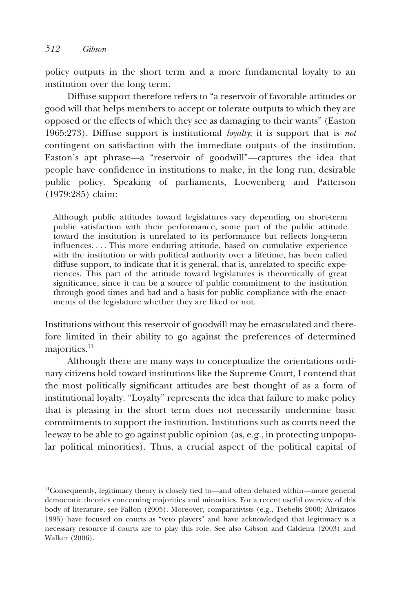policy outputs in the short term and a more fundamental loyalty to an institution over the long term.

Diffuse support therefore refers to "a reservoir of favorable attitudes or good will that helps members to accept or tolerate outputs to which they are opposed or the effects of which they see as damaging to their wants" (Easton 1965:273). Diffuse support is institutional *loyalty*; it is support that is *not* contingent on satisfaction with the immediate outputs of the institution. Easton's apt phrase—a "reservoir of goodwill"—captures the idea that people have confidence in institutions to make, in the long run, desirable public policy. Speaking of parliaments, Loewenberg and Patterson (1979:285) claim:

Although public attitudes toward legislatures vary depending on short-term public satisfaction with their performance, some part of the public attitude toward the institution is unrelated to its performance but reflects long-term influences.... This more enduring attitude, based on cumulative experience with the institution or with political authority over a lifetime, has been called diffuse support, to indicate that it is general, that is, unrelated to specific experiences. This part of the attitude toward legislatures is theoretically of great significance, since it can be a source of public commitment to the institution through good times and bad and a basis for public compliance with the enactments of the legislature whether they are liked or not.

Institutions without this reservoir of goodwill may be emasculated and therefore limited in their ability to go against the preferences of determined majorities.<sup>11</sup>

Although there are many ways to conceptualize the orientations ordinary citizens hold toward institutions like the Supreme Court, I contend that the most politically significant attitudes are best thought of as a form of institutional loyalty. "Loyalty" represents the idea that failure to make policy that is pleasing in the short term does not necessarily undermine basic commitments to support the institution. Institutions such as courts need the leeway to be able to go against public opinion (as, e.g., in protecting unpopular political minorities). Thus, a crucial aspect of the political capital of

<sup>11</sup>Consequently, legitimacy theory is closely tied to—and often debated within—more general democratic theories concerning majorities and minorities. For a recent useful overview of this body of literature, see Fallon (2005). Moreover, comparativists (e.g., Tsebelis 2000; Alivizatos 1995) have focused on courts as "veto players" and have acknowledged that legitimacy is a necessary resource if courts are to play this role. See also Gibson and Caldeira (2003) and Walker (2006).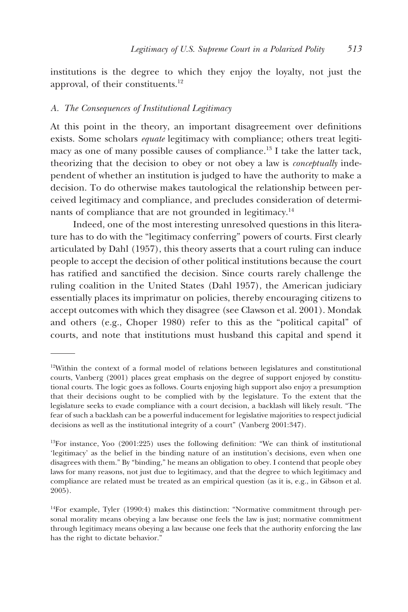institutions is the degree to which they enjoy the loyalty, not just the approval, of their constituents.12

#### *A. The Consequences of Institutional Legitimacy*

At this point in the theory, an important disagreement over definitions exists. Some scholars *equate* legitimacy with compliance; others treat legitimacy as one of many possible causes of compliance.<sup>13</sup> I take the latter tack, theorizing that the decision to obey or not obey a law is *conceptually* independent of whether an institution is judged to have the authority to make a decision. To do otherwise makes tautological the relationship between perceived legitimacy and compliance, and precludes consideration of determinants of compliance that are not grounded in legitimacy.<sup>14</sup>

Indeed, one of the most interesting unresolved questions in this literature has to do with the "legitimacy conferring" powers of courts. First clearly articulated by Dahl (1957), this theory asserts that a court ruling can induce people to accept the decision of other political institutions because the court has ratified and sanctified the decision. Since courts rarely challenge the ruling coalition in the United States (Dahl 1957), the American judiciary essentially places its imprimatur on policies, thereby encouraging citizens to accept outcomes with which they disagree (see Clawson et al. 2001). Mondak and others (e.g., Choper 1980) refer to this as the "political capital" of courts, and note that institutions must husband this capital and spend it

 $12$ Within the context of a formal model of relations between legislatures and constitutional courts, Vanberg (2001) places great emphasis on the degree of support enjoyed by constitutional courts. The logic goes as follows. Courts enjoying high support also enjoy a presumption that their decisions ought to be complied with by the legislature. To the extent that the legislature seeks to evade compliance with a court decision, a backlash will likely result. "The fear of such a backlash can be a powerful inducement for legislative majorities to respect judicial decisions as well as the institutional integrity of a court" (Vanberg 2001:347).

 $13$ For instance, Yoo (2001:225) uses the following definition: "We can think of institutional 'legitimacy' as the belief in the binding nature of an institution's decisions, even when one disagrees with them." By "binding," he means an obligation to obey. I contend that people obey laws for many reasons, not just due to legitimacy, and that the degree to which legitimacy and compliance are related must be treated as an empirical question (as it is, e.g., in Gibson et al. 2005).

<sup>&</sup>lt;sup>14</sup>For example, Tyler (1990:4) makes this distinction: "Normative commitment through personal morality means obeying a law because one feels the law is just; normative commitment through legitimacy means obeying a law because one feels that the authority enforcing the law has the right to dictate behavior."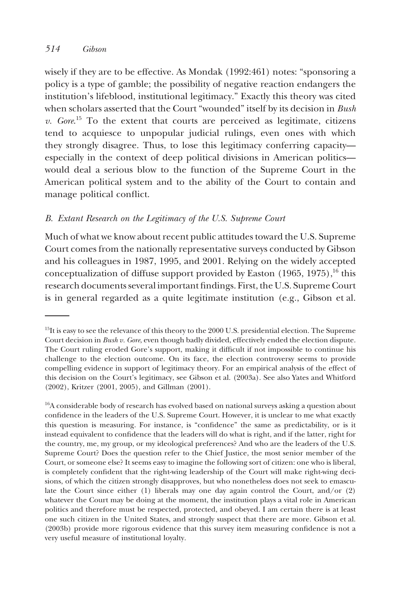### *514 Gibson*

wisely if they are to be effective. As Mondak (1992:461) notes: "sponsoring a policy is a type of gamble; the possibility of negative reaction endangers the institution's lifeblood, institutional legitimacy." Exactly this theory was cited when scholars asserted that the Court "wounded" itself by its decision in *Bush v. Gore*. <sup>15</sup> To the extent that courts are perceived as legitimate, citizens tend to acquiesce to unpopular judicial rulings, even ones with which they strongly disagree. Thus, to lose this legitimacy conferring capacity especially in the context of deep political divisions in American politics would deal a serious blow to the function of the Supreme Court in the American political system and to the ability of the Court to contain and manage political conflict.

### *B. Extant Research on the Legitimacy of the U.S. Supreme Court*

Much of what we know about recent public attitudes toward the U.S. Supreme Court comes from the nationally representative surveys conducted by Gibson and his colleagues in 1987, 1995, and 2001. Relying on the widely accepted conceptualization of diffuse support provided by Easton  $(1965, 1975)$ , <sup>16</sup> this research documents several important findings. First, the U.S. Supreme Court is in general regarded as a quite legitimate institution (e.g., Gibson et al.

<sup>&</sup>lt;sup>15</sup>It is easy to see the relevance of this theory to the 2000 U.S. presidential election. The Supreme Court decision in *Bush v. Gore*, even though badly divided, effectively ended the election dispute. The Court ruling eroded Gore's support, making it difficult if not impossible to continue his challenge to the election outcome. On its face, the election controversy seems to provide compelling evidence in support of legitimacy theory. For an empirical analysis of the effect of this decision on the Court's legitimacy, see Gibson et al. (2003a). See also Yates and Whitford (2002), Kritzer (2001, 2005), and Gillman (2001).

 $16A$  considerable body of research has evolved based on national surveys asking a question about confidence in the leaders of the U.S. Supreme Court. However, it is unclear to me what exactly this question is measuring. For instance, is "confidence" the same as predictability, or is it instead equivalent to confidence that the leaders will do what is right, and if the latter, right for the country, me, my group, or my ideological preferences? And who are the leaders of the U.S. Supreme Court? Does the question refer to the Chief Justice, the most senior member of the Court, or someone else? It seems easy to imagine the following sort of citizen: one who is liberal, is completely confident that the right-wing leadership of the Court will make right-wing decisions, of which the citizen strongly disapproves, but who nonetheless does not seek to emasculate the Court since either (1) liberals may one day again control the Court, and/or (2) whatever the Court may be doing at the moment, the institution plays a vital role in American politics and therefore must be respected, protected, and obeyed. I am certain there is at least one such citizen in the United States, and strongly suspect that there are more. Gibson et al. (2003b) provide more rigorous evidence that this survey item measuring confidence is not a very useful measure of institutional loyalty.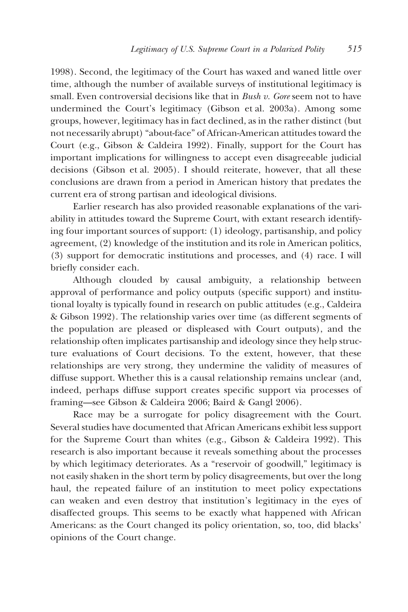1998). Second, the legitimacy of the Court has waxed and waned little over time, although the number of available surveys of institutional legitimacy is small. Even controversial decisions like that in *Bush v. Gore* seem not to have undermined the Court's legitimacy (Gibson et al. 2003a). Among some groups, however, legitimacy has in fact declined, as in the rather distinct (but not necessarily abrupt) "about-face" of African-American attitudes toward the Court (e.g., Gibson & Caldeira 1992). Finally, support for the Court has important implications for willingness to accept even disagreeable judicial decisions (Gibson et al. 2005). I should reiterate, however, that all these conclusions are drawn from a period in American history that predates the current era of strong partisan and ideological divisions.

Earlier research has also provided reasonable explanations of the variability in attitudes toward the Supreme Court, with extant research identifying four important sources of support: (1) ideology, partisanship, and policy agreement, (2) knowledge of the institution and its role in American politics, (3) support for democratic institutions and processes, and (4) race. I will briefly consider each.

Although clouded by causal ambiguity, a relationship between approval of performance and policy outputs (specific support) and institutional loyalty is typically found in research on public attitudes (e.g., Caldeira & Gibson 1992). The relationship varies over time (as different segments of the population are pleased or displeased with Court outputs), and the relationship often implicates partisanship and ideology since they help structure evaluations of Court decisions. To the extent, however, that these relationships are very strong, they undermine the validity of measures of diffuse support. Whether this is a causal relationship remains unclear (and, indeed, perhaps diffuse support creates specific support via processes of framing—see Gibson & Caldeira 2006; Baird & Gangl 2006).

Race may be a surrogate for policy disagreement with the Court. Several studies have documented that African Americans exhibit less support for the Supreme Court than whites (e.g., Gibson & Caldeira 1992). This research is also important because it reveals something about the processes by which legitimacy deteriorates. As a "reservoir of goodwill," legitimacy is not easily shaken in the short term by policy disagreements, but over the long haul, the repeated failure of an institution to meet policy expectations can weaken and even destroy that institution's legitimacy in the eyes of disaffected groups. This seems to be exactly what happened with African Americans: as the Court changed its policy orientation, so, too, did blacks' opinions of the Court change.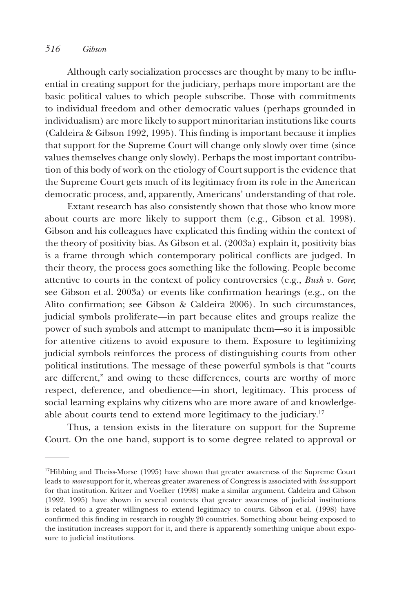#### *516 Gibson*

Although early socialization processes are thought by many to be influential in creating support for the judiciary, perhaps more important are the basic political values to which people subscribe. Those with commitments to individual freedom and other democratic values (perhaps grounded in individualism) are more likely to support minoritarian institutions like courts (Caldeira & Gibson 1992, 1995). This finding is important because it implies that support for the Supreme Court will change only slowly over time (since values themselves change only slowly). Perhaps the most important contribution of this body of work on the etiology of Court support is the evidence that the Supreme Court gets much of its legitimacy from its role in the American democratic process, and, apparently, Americans' understanding of that role.

Extant research has also consistently shown that those who know more about courts are more likely to support them (e.g., Gibson et al. 1998). Gibson and his colleagues have explicated this finding within the context of the theory of positivity bias. As Gibson et al. (2003a) explain it, positivity bias is a frame through which contemporary political conflicts are judged. In their theory, the process goes something like the following. People become attentive to courts in the context of policy controversies (e.g., *Bush v. Gore*; see Gibson et al. 2003a) or events like confirmation hearings (e.g., on the Alito confirmation; see Gibson & Caldeira 2006). In such circumstances, judicial symbols proliferate—in part because elites and groups realize the power of such symbols and attempt to manipulate them—so it is impossible for attentive citizens to avoid exposure to them. Exposure to legitimizing judicial symbols reinforces the process of distinguishing courts from other political institutions. The message of these powerful symbols is that "courts are different," and owing to these differences, courts are worthy of more respect, deference, and obedience—in short, legitimacy. This process of social learning explains why citizens who are more aware of and knowledgeable about courts tend to extend more legitimacy to the judiciary.17

Thus, a tension exists in the literature on support for the Supreme Court. On the one hand, support is to some degree related to approval or

 $17$ Hibbing and Theiss-Morse (1995) have shown that greater awareness of the Supreme Court leads to *more* support for it, whereas greater awareness of Congress is associated with *less* support for that institution. Kritzer and Voelker (1998) make a similar argument. Caldeira and Gibson (1992, 1995) have shown in several contexts that greater awareness of judicial institutions is related to a greater willingness to extend legitimacy to courts. Gibson et al. (1998) have confirmed this finding in research in roughly 20 countries. Something about being exposed to the institution increases support for it, and there is apparently something unique about exposure to judicial institutions.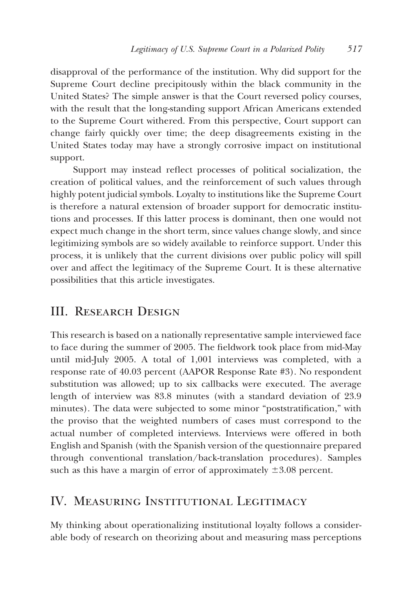disapproval of the performance of the institution. Why did support for the Supreme Court decline precipitously within the black community in the United States? The simple answer is that the Court reversed policy courses, with the result that the long-standing support African Americans extended to the Supreme Court withered. From this perspective, Court support can change fairly quickly over time; the deep disagreements existing in the United States today may have a strongly corrosive impact on institutional support.

Support may instead reflect processes of political socialization, the creation of political values, and the reinforcement of such values through highly potent judicial symbols. Loyalty to institutions like the Supreme Court is therefore a natural extension of broader support for democratic institutions and processes. If this latter process is dominant, then one would not expect much change in the short term, since values change slowly, and since legitimizing symbols are so widely available to reinforce support. Under this process, it is unlikely that the current divisions over public policy will spill over and affect the legitimacy of the Supreme Court. It is these alternative possibilities that this article investigates.

### III. RESEARCH DESIGN

This research is based on a nationally representative sample interviewed face to face during the summer of 2005. The fieldwork took place from mid-May until mid-July 2005. A total of 1,001 interviews was completed, with a response rate of 40.03 percent (AAPOR Response Rate #3). No respondent substitution was allowed; up to six callbacks were executed. The average length of interview was 83.8 minutes (with a standard deviation of 23.9 minutes). The data were subjected to some minor "poststratification," with the proviso that the weighted numbers of cases must correspond to the actual number of completed interviews. Interviews were offered in both English and Spanish (with the Spanish version of the questionnaire prepared through conventional translation/back-translation procedures). Samples such as this have a margin of error of approximately  $\pm 3.08$  percent.

# IV. Measuring Institutional Legitimacy

My thinking about operationalizing institutional loyalty follows a considerable body of research on theorizing about and measuring mass perceptions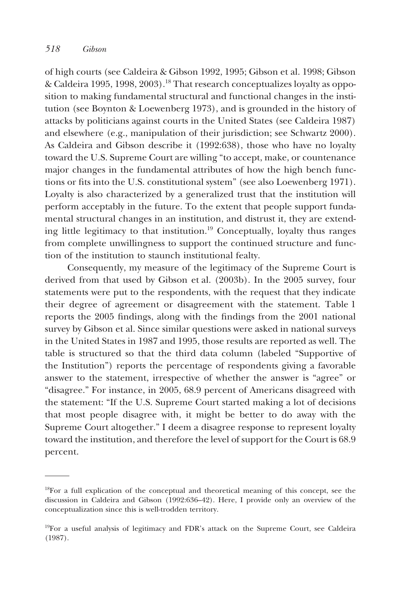of high courts (see Caldeira & Gibson 1992, 1995; Gibson et al. 1998; Gibson & Caldeira 1995, 1998, 2003).18 That research conceptualizes loyalty as opposition to making fundamental structural and functional changes in the institution (see Boynton & Loewenberg 1973), and is grounded in the history of attacks by politicians against courts in the United States (see Caldeira 1987) and elsewhere (e.g., manipulation of their jurisdiction; see Schwartz 2000). As Caldeira and Gibson describe it (1992:638), those who have no loyalty toward the U.S. Supreme Court are willing "to accept, make, or countenance major changes in the fundamental attributes of how the high bench functions or fits into the U.S. constitutional system" (see also Loewenberg 1971). Loyalty is also characterized by a generalized trust that the institution will perform acceptably in the future. To the extent that people support fundamental structural changes in an institution, and distrust it, they are extending little legitimacy to that institution.19 Conceptually, loyalty thus ranges from complete unwillingness to support the continued structure and function of the institution to staunch institutional fealty.

Consequently, my measure of the legitimacy of the Supreme Court is derived from that used by Gibson et al. (2003b). In the 2005 survey, four statements were put to the respondents, with the request that they indicate their degree of agreement or disagreement with the statement. Table 1 reports the 2005 findings, along with the findings from the 2001 national survey by Gibson et al. Since similar questions were asked in national surveys in the United States in 1987 and 1995, those results are reported as well. The table is structured so that the third data column (labeled "Supportive of the Institution") reports the percentage of respondents giving a favorable answer to the statement, irrespective of whether the answer is "agree" or "disagree." For instance, in 2005, 68.9 percent of Americans disagreed with the statement: "If the U.S. Supreme Court started making a lot of decisions that most people disagree with, it might be better to do away with the Supreme Court altogether." I deem a disagree response to represent loyalty toward the institution, and therefore the level of support for the Court is 68.9 percent.

<sup>18</sup>For a full explication of the conceptual and theoretical meaning of this concept, see the discussion in Caldeira and Gibson (1992:636–42). Here, I provide only an overview of the conceptualization since this is well-trodden territory.

<sup>&</sup>lt;sup>19</sup>For a useful analysis of legitimacy and FDR's attack on the Supreme Court, see Caldeira (1987).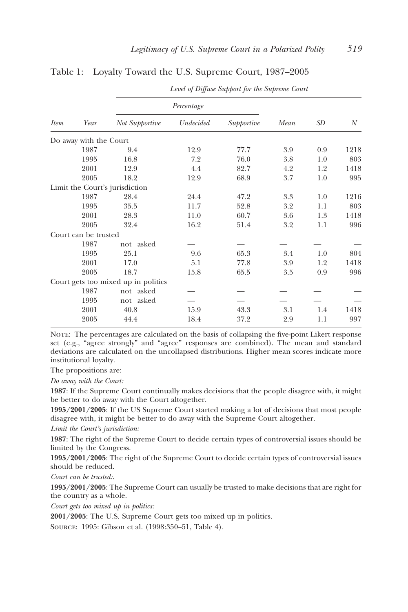|             |                        |                                     | Level of Diffuse Support for the Supreme Court |            |      |     |      |  |
|-------------|------------------------|-------------------------------------|------------------------------------------------|------------|------|-----|------|--|
|             |                        | Percentage                          |                                                |            |      |     |      |  |
| <i>Item</i> | Year                   | Not Supportive                      | Undecided                                      | Supportive | Mean | SD  | N    |  |
|             | Do away with the Court |                                     |                                                |            |      |     |      |  |
|             | 1987                   | 9.4                                 | 12.9                                           | 77.7       | 3.9  | 0.9 | 1218 |  |
|             | 1995                   | 16.8                                | 7.2                                            | 76.0       | 3.8  | 1.0 | 803  |  |
|             | 2001                   | 12.9                                | 4.4                                            | 82.7       | 4.2  | 1.2 | 1418 |  |
|             | 2005                   | 18.2                                | 12.9                                           | 68.9       | 3.7  | 1.0 | 995  |  |
|             |                        | Limit the Court's jurisdiction      |                                                |            |      |     |      |  |
|             | 1987                   | 28.4                                | 24.4                                           | 47.2       | 3.3  | 1.0 | 1216 |  |
|             | 1995                   | 35.5                                | 11.7                                           | 52.8       | 3.2  | 1.1 | 803  |  |
|             | 2001                   | 28.3                                | 11.0                                           | 60.7       | 3.6  | 1.3 | 1418 |  |
|             | 2005                   | 32.4                                | 16.2                                           | 51.4       | 3.2  | 1.1 | 996  |  |
|             | Court can be trusted   |                                     |                                                |            |      |     |      |  |
|             | 1987                   | not asked                           |                                                |            |      |     |      |  |
|             | 1995                   | 25.1                                | 9.6                                            | 65.3       | 3.4  | 1.0 | 804  |  |
|             | 2001                   | 17.0                                | 5.1                                            | 77.8       | 3.9  | 1.2 | 1418 |  |
|             | 2005                   | 18.7                                | 15.8                                           | 65.5       | 3.5  | 0.9 | 996  |  |
|             |                        | Court gets too mixed up in politics |                                                |            |      |     |      |  |
|             | 1987                   | not asked                           |                                                |            |      |     |      |  |
|             | 1995                   | not asked                           |                                                |            |      |     |      |  |
|             | 2001                   | 40.8                                | 15.9                                           | 43.3       | 3.1  | 1.4 | 1418 |  |
|             | 2005                   | 44.4                                | 18.4                                           | 37.2       | 2.9  | 1.1 | 997  |  |
|             |                        |                                     |                                                |            |      |     |      |  |

#### Table 1: Loyalty Toward the U.S. Supreme Court, 1987–2005

NOTE: The percentages are calculated on the basis of collapsing the five-point Likert response set (e.g., "agree strongly" and "agree" responses are combined). The mean and standard deviations are calculated on the uncollapsed distributions. Higher mean scores indicate more institutional loyalty.

The propositions are:

*Do away with the Court:*

**1987**: If the Supreme Court continually makes decisions that the people disagree with, it might be better to do away with the Court altogether.

**1995/2001/2005**: If the US Supreme Court started making a lot of decisions that most people disagree with, it might be better to do away with the Supreme Court altogether.

*Limit the Court's jurisdiction:*

**1987**: The right of the Supreme Court to decide certain types of controversial issues should be limited by the Congress.

**1995/2001/2005**: The right of the Supreme Court to decide certain types of controversial issues should be reduced.

*Court can be trusted:*.

**1995/2001/2005**: The Supreme Court can usually be trusted to make decisions that are right for the country as a whole.

*Court gets too mixed up in politics:*

**2001/2005**: The U.S. Supreme Court gets too mixed up in politics.

Source: 1995: Gibson et al. (1998:350–51, Table 4).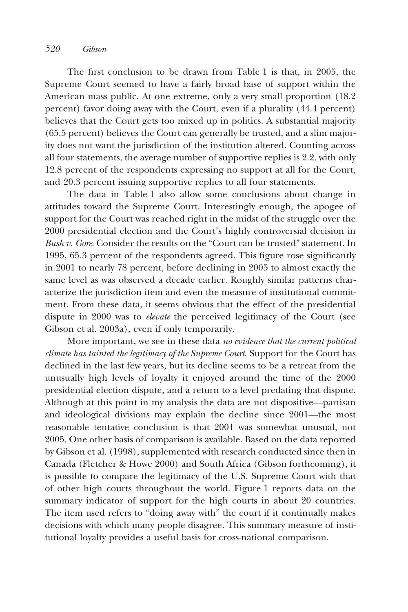#### *520 Gibson*

The first conclusion to be drawn from Table 1 is that, in 2005, the Supreme Court seemed to have a fairly broad base of support within the American mass public. At one extreme, only a very small proportion (18.2 percent) favor doing away with the Court, even if a plurality (44.4 percent) believes that the Court gets too mixed up in politics. A substantial majority (65.5 percent) believes the Court can generally be trusted, and a slim majority does not want the jurisdiction of the institution altered. Counting across all four statements, the average number of supportive replies is 2.2, with only 12.8 percent of the respondents expressing no support at all for the Court, and 20.3 percent issuing supportive replies to all four statements.

The data in Table 1 also allow some conclusions about change in attitudes toward the Supreme Court. Interestingly enough, the apogee of support for the Court was reached right in the midst of the struggle over the 2000 presidential election and the Court's highly controversial decision in *Bush v. Gore*. Consider the results on the "Court can be trusted" statement. In 1995, 65.3 percent of the respondents agreed. This figure rose significantly in 2001 to nearly 78 percent, before declining in 2005 to almost exactly the same level as was observed a decade earlier. Roughly similar patterns characterize the jurisdiction item and even the measure of institutional commitment. From these data, it seems obvious that the effect of the presidential dispute in 2000 was to *elevate* the perceived legitimacy of the Court (see Gibson et al. 2003a), even if only temporarily.

More important, we see in these data *no evidence that the current political climate has tainted the legitimacy of the Supreme Court*. Support for the Court has declined in the last few years, but its decline seems to be a retreat from the unusually high levels of loyalty it enjoyed around the time of the 2000 presidential election dispute, and a return to a level predating that dispute. Although at this point in my analysis the data are not dispositive—partisan and ideological divisions may explain the decline since 2001—the most reasonable tentative conclusion is that 2001 was somewhat unusual, not 2005. One other basis of comparison is available. Based on the data reported by Gibson et al. (1998), supplemented with research conducted since then in Canada (Fletcher & Howe 2000) and South Africa (Gibson forthcoming), it is possible to compare the legitimacy of the U.S. Supreme Court with that of other high courts throughout the world. Figure 1 reports data on the summary indicator of support for the high courts in about 20 countries. The item used refers to "doing away with" the court if it continually makes decisions with which many people disagree. This summary measure of institutional loyalty provides a useful basis for cross-national comparison.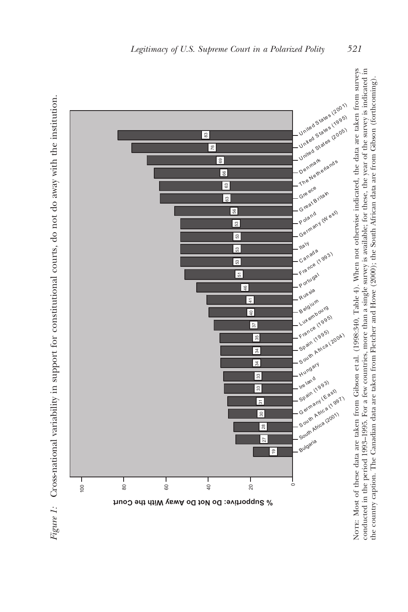

the country caption. The Canadian data are taken from Fletcher and Howe (2000); the South African data are from Gibson (forthcoming). the country caption. The Canadian data are taken from Fletcher and Howe (2000); the South African data are from Gibson (forthcoming).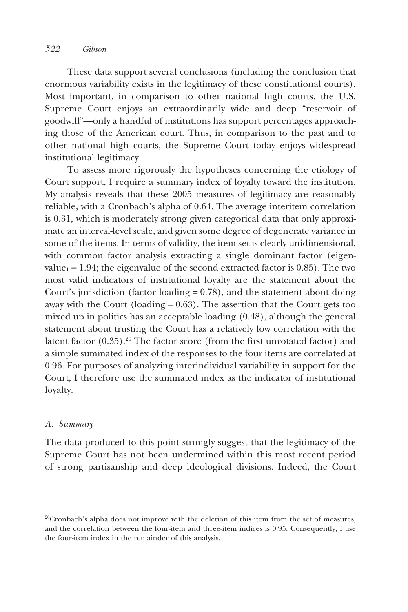#### *522 Gibson*

These data support several conclusions (including the conclusion that enormous variability exists in the legitimacy of these constitutional courts). Most important, in comparison to other national high courts, the U.S. Supreme Court enjoys an extraordinarily wide and deep "reservoir of goodwill"—only a handful of institutions has support percentages approaching those of the American court. Thus, in comparison to the past and to other national high courts, the Supreme Court today enjoys widespread institutional legitimacy.

To assess more rigorously the hypotheses concerning the etiology of Court support, I require a summary index of loyalty toward the institution. My analysis reveals that these 2005 measures of legitimacy are reasonably reliable, with a Cronbach's alpha of 0.64. The average interitem correlation is 0.31, which is moderately strong given categorical data that only approximate an interval-level scale, and given some degree of degenerate variance in some of the items. In terms of validity, the item set is clearly unidimensional, with common factor analysis extracting a single dominant factor (eigenvalue<sub>1</sub> = 1.94; the eigenvalue of the second extracted factor is 0.85). The two most valid indicators of institutional loyalty are the statement about the Court's jurisdiction (factor loading  $= 0.78$ ), and the statement about doing away with the Court (loading  $= 0.63$ ). The assertion that the Court gets too mixed up in politics has an acceptable loading (0.48), although the general statement about trusting the Court has a relatively low correlation with the latent factor  $(0.35)$ .<sup>20</sup> The factor score (from the first unrotated factor) and a simple summated index of the responses to the four items are correlated at 0.96. For purposes of analyzing interindividual variability in support for the Court, I therefore use the summated index as the indicator of institutional loyalty.

#### *A. Summary*

The data produced to this point strongly suggest that the legitimacy of the Supreme Court has not been undermined within this most recent period of strong partisanship and deep ideological divisions. Indeed, the Court

 $20$ Cronbach's alpha does not improve with the deletion of this item from the set of measures, and the correlation between the four-item and three-item indices is 0.95. Consequently, I use the four-item index in the remainder of this analysis.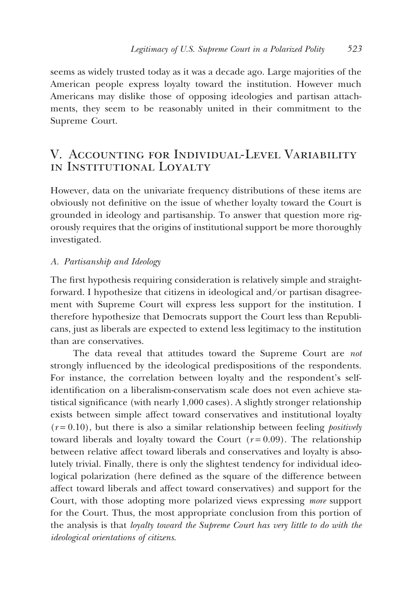seems as widely trusted today as it was a decade ago. Large majorities of the American people express loyalty toward the institution. However much Americans may dislike those of opposing ideologies and partisan attachments, they seem to be reasonably united in their commitment to the Supreme Court.

# V. Accounting for Individual-Level Variability in Institutional Loyalty

However, data on the univariate frequency distributions of these items are obviously not definitive on the issue of whether loyalty toward the Court is grounded in ideology and partisanship. To answer that question more rigorously requires that the origins of institutional support be more thoroughly investigated.

#### *A. Partisanship and Ideology*

The first hypothesis requiring consideration is relatively simple and straightforward. I hypothesize that citizens in ideological and/or partisan disagreement with Supreme Court will express less support for the institution. I therefore hypothesize that Democrats support the Court less than Republicans, just as liberals are expected to extend less legitimacy to the institution than are conservatives.

The data reveal that attitudes toward the Supreme Court are *not* strongly influenced by the ideological predispositions of the respondents. For instance, the correlation between loyalty and the respondent's selfidentification on a liberalism-conservatism scale does not even achieve statistical significance (with nearly 1,000 cases). A slightly stronger relationship exists between simple affect toward conservatives and institutional loyalty  $(r=0.10)$ , but there is also a similar relationship between feeling *positively* toward liberals and loyalty toward the Court  $(r=0.09)$ . The relationship between relative affect toward liberals and conservatives and loyalty is absolutely trivial. Finally, there is only the slightest tendency for individual ideological polarization (here defined as the square of the difference between affect toward liberals and affect toward conservatives) and support for the Court, with those adopting more polarized views expressing *more* support for the Court. Thus, the most appropriate conclusion from this portion of the analysis is that *loyalty toward the Supreme Court has very little to do with the ideological orientations of citizens*.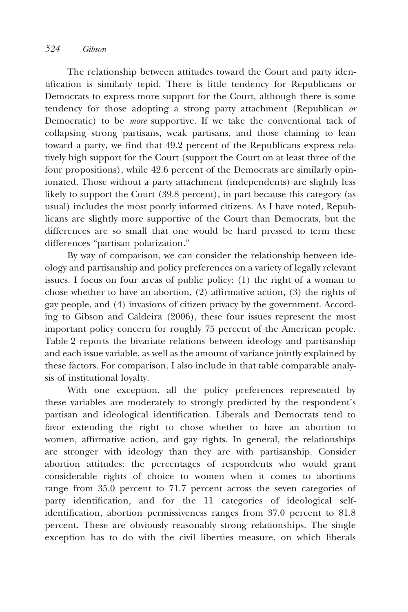#### *524 Gibson*

The relationship between attitudes toward the Court and party identification is similarly tepid. There is little tendency for Republicans or Democrats to express more support for the Court, although there is some tendency for those adopting a strong party attachment (Republican *or* Democratic) to be *more* supportive. If we take the conventional tack of collapsing strong partisans, weak partisans, and those claiming to lean toward a party, we find that 49.2 percent of the Republicans express relatively high support for the Court (support the Court on at least three of the four propositions), while 42.6 percent of the Democrats are similarly opinionated. Those without a party attachment (independents) are slightly less likely to support the Court (39.8 percent), in part because this category (as usual) includes the most poorly informed citizens. As I have noted, Republicans are slightly more supportive of the Court than Democrats, but the differences are so small that one would be hard pressed to term these differences "partisan polarization."

By way of comparison, we can consider the relationship between ideology and partisanship and policy preferences on a variety of legally relevant issues. I focus on four areas of public policy: (1) the right of a woman to chose whether to have an abortion, (2) affirmative action, (3) the rights of gay people, and (4) invasions of citizen privacy by the government. According to Gibson and Caldeira (2006), these four issues represent the most important policy concern for roughly 75 percent of the American people. Table 2 reports the bivariate relations between ideology and partisanship and each issue variable, as well as the amount of variance jointly explained by these factors. For comparison, I also include in that table comparable analysis of institutional loyalty.

With one exception, all the policy preferences represented by these variables are moderately to strongly predicted by the respondent's partisan and ideological identification. Liberals and Democrats tend to favor extending the right to chose whether to have an abortion to women, affirmative action, and gay rights. In general, the relationships are stronger with ideology than they are with partisanship. Consider abortion attitudes: the percentages of respondents who would grant considerable rights of choice to women when it comes to abortions range from 35.0 percent to 71.7 percent across the seven categories of party identification, and for the 11 categories of ideological selfidentification, abortion permissiveness ranges from 37.0 percent to 81.8 percent. These are obviously reasonably strong relationships. The single exception has to do with the civil liberties measure, on which liberals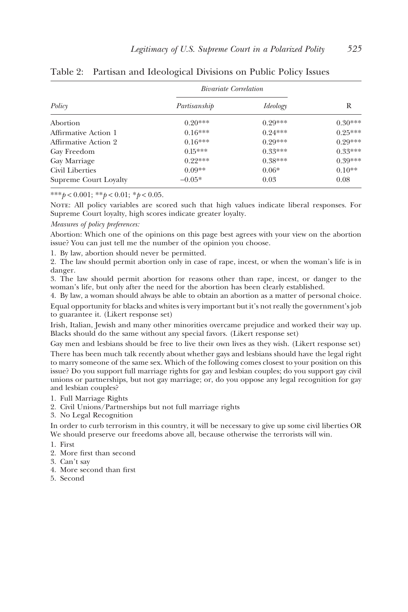|                       | <i>Bivariate Correlation</i> |                 | R         |
|-----------------------|------------------------------|-----------------|-----------|
| Policy                | Partisanship                 | <i>Ideology</i> |           |
| Abortion              | $0.20***$                    | $0.29***$       | $0.30***$ |
| Affirmative Action 1  | $0.16***$                    | $0.24***$       | $0.95***$ |
| Affirmative Action 2  | $0.16***$                    | $0.99***$       | $0.99***$ |
| Gay Freedom           | $0.15***$                    | $0.33***$       | $0.33***$ |
| Gay Marriage          | $0.22***$                    | $0.38***$       | $0.39***$ |
| Civil Liberties       | $0.09**$                     | $0.06*$         | $0.10**$  |
| Supreme Court Loyalty | $-0.05*$                     | 0.03            | 0.08      |

Table 2: Partisan and Ideological Divisions on Public Policy Issues

\*\*\**p* < 0.001; \*\**p* < 0.01; \**p* < 0.05.

NOTE: All policy variables are scored such that high values indicate liberal responses. For Supreme Court loyalty, high scores indicate greater loyalty.

*Measures of policy preferences:*

Abortion: Which one of the opinions on this page best agrees with your view on the abortion issue? You can just tell me the number of the opinion you choose.

1. By law, abortion should never be permitted.

2. The law should permit abortion only in case of rape, incest, or when the woman's life is in danger.

3. The law should permit abortion for reasons other than rape, incest, or danger to the woman's life, but only after the need for the abortion has been clearly established.

4. By law, a woman should always be able to obtain an abortion as a matter of personal choice. Equal opportunity for blacks and whites is very important but it's not really the government's job to guarantee it. (Likert response set)

Irish, Italian, Jewish and many other minorities overcame prejudice and worked their way up. Blacks should do the same without any special favors. (Likert response set)

Gay men and lesbians should be free to live their own lives as they wish. (Likert response set) There has been much talk recently about whether gays and lesbians should have the legal right to marry someone of the same sex. Which of the following comes closest to your position on this issue? Do you support full marriage rights for gay and lesbian couples; do you support gay civil unions or partnerships, but not gay marriage; or, do you oppose any legal recognition for gay and lesbian couples?

- 1. Full Marriage Rights
- 2. Civil Unions/Partnerships but not full marriage rights
- 3. No Legal Recognition

In order to curb terrorism in this country, it will be necessary to give up some civil liberties OR We should preserve our freedoms above all, because otherwise the terrorists will win.

- 1. First
- 2. More first than second
- 3. Can't say
- 4. More second than first
- 5. Second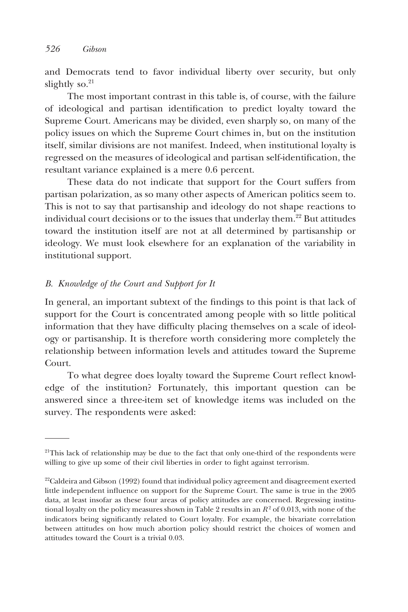and Democrats tend to favor individual liberty over security, but only slightly so. $21$ 

The most important contrast in this table is, of course, with the failure of ideological and partisan identification to predict loyalty toward the Supreme Court. Americans may be divided, even sharply so, on many of the policy issues on which the Supreme Court chimes in, but on the institution itself, similar divisions are not manifest. Indeed, when institutional loyalty is regressed on the measures of ideological and partisan self-identification, the resultant variance explained is a mere 0.6 percent.

These data do not indicate that support for the Court suffers from partisan polarization, as so many other aspects of American politics seem to. This is not to say that partisanship and ideology do not shape reactions to individual court decisions or to the issues that underlay them.<sup>22</sup> But attitudes toward the institution itself are not at all determined by partisanship or ideology. We must look elsewhere for an explanation of the variability in institutional support.

### *B. Knowledge of the Court and Support for It*

In general, an important subtext of the findings to this point is that lack of support for the Court is concentrated among people with so little political information that they have difficulty placing themselves on a scale of ideology or partisanship. It is therefore worth considering more completely the relationship between information levels and attitudes toward the Supreme Court.

To what degree does loyalty toward the Supreme Court reflect knowledge of the institution? Fortunately, this important question can be answered since a three-item set of knowledge items was included on the survey. The respondents were asked:

 $21$ This lack of relationship may be due to the fact that only one-third of the respondents were willing to give up some of their civil liberties in order to fight against terrorism.

 $22$ Caldeira and Gibson (1992) found that individual policy agreement and disagreement exerted little independent influence on support for the Supreme Court. The same is true in the 2005 data, at least insofar as these four areas of policy attitudes are concerned. Regressing institutional loyalty on the policy measures shown in Table 2 results in an  $R<sup>2</sup>$  of 0.013, with none of the indicators being significantly related to Court loyalty. For example, the bivariate correlation between attitudes on how much abortion policy should restrict the choices of women and attitudes toward the Court is a trivial 0.03.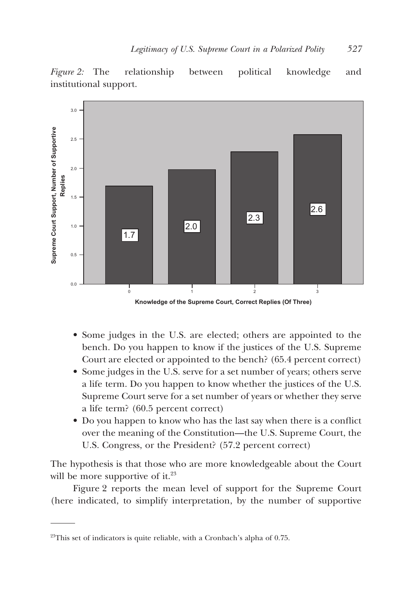*Figure 2:* The relationship between political knowledge and institutional support.



- Some judges in the U.S. are elected; others are appointed to the bench. Do you happen to know if the justices of the U.S. Supreme Court are elected or appointed to the bench? (65.4 percent correct)
- Some judges in the U.S. serve for a set number of years; others serve a life term. Do you happen to know whether the justices of the U.S. Supreme Court serve for a set number of years or whether they serve a life term? (60.5 percent correct)
- Do you happen to know who has the last say when there is a conflict over the meaning of the Constitution—the U.S. Supreme Court, the U.S. Congress, or the President? (57.2 percent correct)

The hypothesis is that those who are more knowledgeable about the Court will be more supportive of it.<sup>23</sup>

Figure 2 reports the mean level of support for the Supreme Court (here indicated, to simplify interpretation, by the number of supportive

 $23$ This set of indicators is quite reliable, with a Cronbach's alpha of 0.75.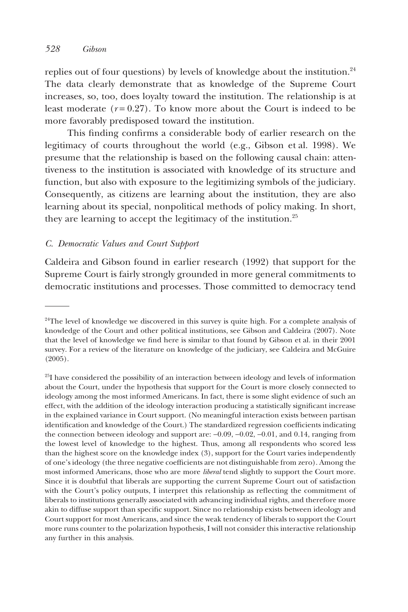replies out of four questions) by levels of knowledge about the institution.<sup>24</sup> The data clearly demonstrate that as knowledge of the Supreme Court increases, so, too, does loyalty toward the institution. The relationship is at least moderate  $(r = 0.27)$ . To know more about the Court is indeed to be more favorably predisposed toward the institution.

This finding confirms a considerable body of earlier research on the legitimacy of courts throughout the world (e.g., Gibson et al. 1998). We presume that the relationship is based on the following causal chain: attentiveness to the institution is associated with knowledge of its structure and function, but also with exposure to the legitimizing symbols of the judiciary. Consequently, as citizens are learning about the institution, they are also learning about its special, nonpolitical methods of policy making. In short, they are learning to accept the legitimacy of the institution.25

### *C. Democratic Values and Court Support*

Caldeira and Gibson found in earlier research (1992) that support for the Supreme Court is fairly strongly grounded in more general commitments to democratic institutions and processes. Those committed to democracy tend

 $24$ The level of knowledge we discovered in this survey is quite high. For a complete analysis of knowledge of the Court and other political institutions, see Gibson and Caldeira (2007). Note that the level of knowledge we find here is similar to that found by Gibson et al. in their 2001 survey. For a review of the literature on knowledge of the judiciary, see Caldeira and McGuire (2005).

 $25I$  have considered the possibility of an interaction between ideology and levels of information about the Court, under the hypothesis that support for the Court is more closely connected to ideology among the most informed Americans. In fact, there is some slight evidence of such an effect, with the addition of the ideology interaction producing a statistically significant increase in the explained variance in Court support. (No meaningful interaction exists between partisan identification and knowledge of the Court.) The standardized regression coefficients indicating the connection between ideology and support are:  $-0.09, -0.02, -0.01$ , and 0.14, ranging from the lowest level of knowledge to the highest. Thus, among all respondents who scored less than the highest score on the knowledge index (3), support for the Court varies independently of one's ideology (the three negative coefficients are not distinguishable from zero). Among the most informed Americans, those who are more *liberal* tend slightly to support the Court more. Since it is doubtful that liberals are supporting the current Supreme Court out of satisfaction with the Court's policy outputs, I interpret this relationship as reflecting the commitment of liberals to institutions generally associated with advancing individual rights, and therefore more akin to diffuse support than specific support. Since no relationship exists between ideology and Court support for most Americans, and since the weak tendency of liberals to support the Court more runs counter to the polarization hypothesis, I will not consider this interactive relationship any further in this analysis.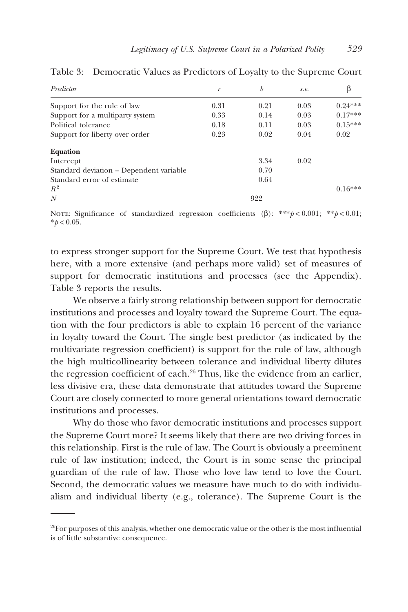| Predictor                               | r    | b    | S.e. | β         |
|-----------------------------------------|------|------|------|-----------|
| Support for the rule of law             | 0.31 | 0.21 | 0.03 | $0.24***$ |
| Support for a multiparty system         | 0.33 | 0.14 | 0.03 | $0.17***$ |
| Political tolerance                     | 0.18 | 0.11 | 0.03 | $0.15***$ |
| Support for liberty over order          | 0.23 | 0.02 | 0.04 | 0.02      |
| <b>Equation</b>                         |      |      |      |           |
| Intercept                               |      | 3.34 | 0.02 |           |
| Standard deviation – Dependent variable |      | 0.70 |      |           |
| Standard error of estimate              |      | 0.64 |      |           |
| $R^2$                                   |      |      |      | $0.16***$ |
| N                                       |      | 922  |      |           |

Table 3: Democratic Values as Predictors of Loyalty to the Supreme Court

NOTE: Significance of standardized regression coefficients  $(\beta)$ : \*\**p* < 0.001; \**\*p* < 0.01;  $*<sub>p</sub> < 0.05$ .

to express stronger support for the Supreme Court. We test that hypothesis here, with a more extensive (and perhaps more valid) set of measures of support for democratic institutions and processes (see the Appendix). Table 3 reports the results.

We observe a fairly strong relationship between support for democratic institutions and processes and loyalty toward the Supreme Court. The equation with the four predictors is able to explain 16 percent of the variance in loyalty toward the Court. The single best predictor (as indicated by the multivariate regression coefficient) is support for the rule of law, although the high multicollinearity between tolerance and individual liberty dilutes the regression coefficient of each.<sup>26</sup> Thus, like the evidence from an earlier, less divisive era, these data demonstrate that attitudes toward the Supreme Court are closely connected to more general orientations toward democratic institutions and processes.

Why do those who favor democratic institutions and processes support the Supreme Court more? It seems likely that there are two driving forces in this relationship. First is the rule of law. The Court is obviously a preeminent rule of law institution; indeed, the Court is in some sense the principal guardian of the rule of law. Those who love law tend to love the Court. Second, the democratic values we measure have much to do with individualism and individual liberty (e.g., tolerance). The Supreme Court is the

 $26$ For purposes of this analysis, whether one democratic value or the other is the most influential is of little substantive consequence.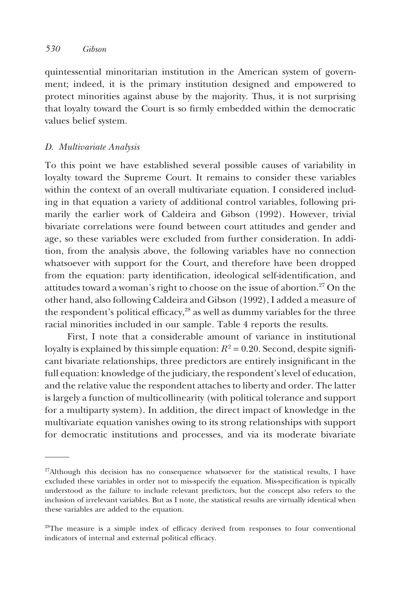quintessential minoritarian institution in the American system of government; indeed, it is the primary institution designed and empowered to protect minorities against abuse by the majority. Thus, it is not surprising that loyalty toward the Court is so firmly embedded within the democratic values belief system.

#### *D. Multivariate Analysis*

To this point we have established several possible causes of variability in loyalty toward the Supreme Court. It remains to consider these variables within the context of an overall multivariate equation. I considered including in that equation a variety of additional control variables, following primarily the earlier work of Caldeira and Gibson (1992). However, trivial bivariate correlations were found between court attitudes and gender and age, so these variables were excluded from further consideration. In addition, from the analysis above, the following variables have no connection whatsoever with support for the Court, and therefore have been dropped from the equation: party identification, ideological self-identification, and attitudes toward a woman's right to choose on the issue of abortion.<sup>27</sup> On the other hand, also following Caldeira and Gibson (1992), I added a measure of the respondent's political efficacy,<sup>28</sup> as well as dummy variables for the three racial minorities included in our sample. Table 4 reports the results.

First, I note that a considerable amount of variance in institutional loyalty is explained by this simple equation:  $R^2 = 0.20$ . Second, despite significant bivariate relationships, three predictors are entirely insignificant in the full equation: knowledge of the judiciary, the respondent's level of education, and the relative value the respondent attaches to liberty and order. The latter is largely a function of multicollinearity (with political tolerance and support for a multiparty system). In addition, the direct impact of knowledge in the multivariate equation vanishes owing to its strong relationships with support for democratic institutions and processes, and via its moderate bivariate

<sup>&</sup>lt;sup>27</sup>Although this decision has no consequence whatsoever for the statistical results, I have excluded these variables in order not to mis-specify the equation. Mis-specification is typically understood as the failure to include relevant predictors, but the concept also refers to the inclusion of irrelevant variables. But as I note, the statistical results are virtually identical when these variables are added to the equation.

<sup>&</sup>lt;sup>28</sup>The measure is a simple index of efficacy derived from responses to four conventional indicators of internal and external political efficacy.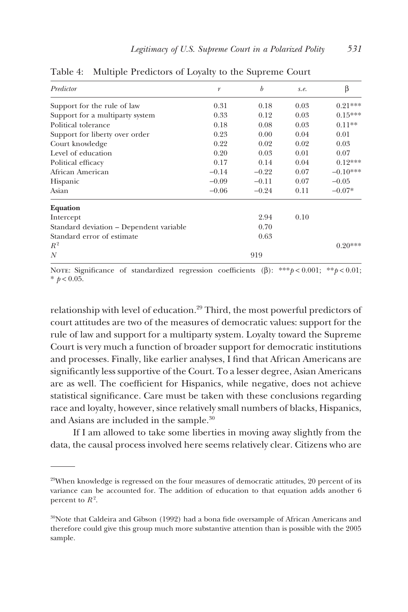| Predictor                               | r       | b       | S.e. | β          |
|-----------------------------------------|---------|---------|------|------------|
| Support for the rule of law             | 0.31    | 0.18    | 0.03 | $0.21***$  |
| Support for a multiparty system         | 0.33    | 0.12    | 0.03 | $0.15***$  |
| Political tolerance                     | 0.18    | 0.08    | 0.03 | $0.11**$   |
| Support for liberty over order          | 0.23    | 0.00    | 0.04 | 0.01       |
| Court knowledge                         | 0.22    | 0.02    | 0.02 | 0.03       |
| Level of education                      | 0.20    | 0.03    | 0.01 | 0.07       |
| Political efficacy                      | 0.17    | 0.14    | 0.04 | $0.12***$  |
| African American                        | $-0.14$ | $-0.22$ | 0.07 | $-0.10***$ |
| Hispanic                                | $-0.09$ | $-0.11$ | 0.07 | $-0.05$    |
| Asian                                   | $-0.06$ | $-0.24$ | 0.11 | $-0.07*$   |
| <b>Equation</b>                         |         |         |      |            |
| Intercept                               |         | 2.94    | 0.10 |            |
| Standard deviation - Dependent variable |         | 0.70    |      |            |
| Standard error of estimate              |         | 0.63    |      |            |
| $R^2$                                   |         |         |      | $0.20***$  |
| N                                       |         | 919     |      |            |

Table 4: Multiple Predictors of Loyalty to the Supreme Court

NOTE: Significance of standardized regression coefficients  $(\beta)$ : \*\**p* < 0.001; \**p* < 0.01;  $*$   $p < 0.05$ .

relationship with level of education.<sup>29</sup> Third, the most powerful predictors of court attitudes are two of the measures of democratic values: support for the rule of law and support for a multiparty system. Loyalty toward the Supreme Court is very much a function of broader support for democratic institutions and processes. Finally, like earlier analyses, I find that African Americans are significantly less supportive of the Court. To a lesser degree, Asian Americans are as well. The coefficient for Hispanics, while negative, does not achieve statistical significance. Care must be taken with these conclusions regarding race and loyalty, however, since relatively small numbers of blacks, Hispanics, and Asians are included in the sample.30

If I am allowed to take some liberties in moving away slightly from the data, the causal process involved here seems relatively clear. Citizens who are

<sup>&</sup>lt;sup>29</sup>When knowledge is regressed on the four measures of democratic attitudes, 20 percent of its variance can be accounted for. The addition of education to that equation adds another 6 percent to  $R^2$ .

<sup>30</sup>Note that Caldeira and Gibson (1992) had a bona fide oversample of African Americans and therefore could give this group much more substantive attention than is possible with the 2005 sample.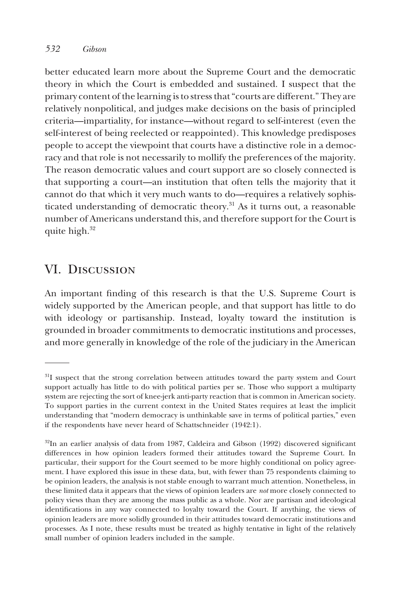better educated learn more about the Supreme Court and the democratic theory in which the Court is embedded and sustained. I suspect that the primary content of the learning is to stress that "courts are different." They are relatively nonpolitical, and judges make decisions on the basis of principled criteria—impartiality, for instance—without regard to self-interest (even the self-interest of being reelected or reappointed). This knowledge predisposes people to accept the viewpoint that courts have a distinctive role in a democracy and that role is not necessarily to mollify the preferences of the majority. The reason democratic values and court support are so closely connected is that supporting a court—an institution that often tells the majority that it cannot do that which it very much wants to do—requires a relatively sophisticated understanding of democratic theory. $31$  As it turns out, a reasonable number of Americans understand this, and therefore support for the Court is quite high.<sup>32</sup>

# VI. Discussion

An important finding of this research is that the U.S. Supreme Court is widely supported by the American people, and that support has little to do with ideology or partisanship. Instead, loyalty toward the institution is grounded in broader commitments to democratic institutions and processes, and more generally in knowledge of the role of the judiciary in the American

<sup>&</sup>lt;sup>31</sup>I suspect that the strong correlation between attitudes toward the party system and Court support actually has little to do with political parties per se. Those who support a multiparty system are rejecting the sort of knee-jerk anti-party reaction that is common in American society. To support parties in the current context in the United States requires at least the implicit understanding that "modern democracy is unthinkable save in terms of political parties," even if the respondents have never heard of Schattschneider (1942:1).

 $32$ In an earlier analysis of data from 1987, Caldeira and Gibson (1992) discovered significant differences in how opinion leaders formed their attitudes toward the Supreme Court. In particular, their support for the Court seemed to be more highly conditional on policy agreement. I have explored this issue in these data, but, with fewer than 75 respondents claiming to be opinion leaders, the analysis is not stable enough to warrant much attention. Nonetheless, in these limited data it appears that the views of opinion leaders are *not* more closely connected to policy views than they are among the mass public as a whole. Nor are partisan and ideological identifications in any way connected to loyalty toward the Court. If anything, the views of opinion leaders are more solidly grounded in their attitudes toward democratic institutions and processes. As I note, these results must be treated as highly tentative in light of the relatively small number of opinion leaders included in the sample.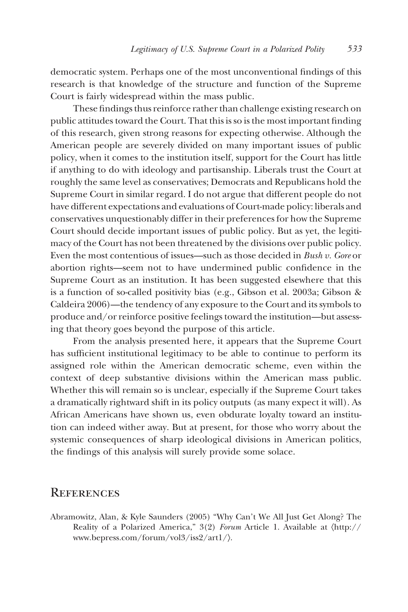democratic system. Perhaps one of the most unconventional findings of this research is that knowledge of the structure and function of the Supreme Court is fairly widespread within the mass public.

These findings thus reinforce rather than challenge existing research on public attitudes toward the Court. That this is so is the most important finding of this research, given strong reasons for expecting otherwise. Although the American people are severely divided on many important issues of public policy, when it comes to the institution itself, support for the Court has little if anything to do with ideology and partisanship. Liberals trust the Court at roughly the same level as conservatives; Democrats and Republicans hold the Supreme Court in similar regard. I do not argue that different people do not have different expectations and evaluations of Court-made policy: liberals and conservatives unquestionably differ in their preferences for how the Supreme Court should decide important issues of public policy. But as yet, the legitimacy of the Court has not been threatened by the divisions over public policy. Even the most contentious of issues—such as those decided in *Bush v. Gore* or abortion rights—seem not to have undermined public confidence in the Supreme Court as an institution. It has been suggested elsewhere that this is a function of so-called positivity bias (e.g., Gibson et al. 2003a; Gibson & Caldeira 2006)—the tendency of any exposure to the Court and its symbols to produce and/or reinforce positive feelings toward the institution—but assessing that theory goes beyond the purpose of this article.

From the analysis presented here, it appears that the Supreme Court has sufficient institutional legitimacy to be able to continue to perform its assigned role within the American democratic scheme, even within the context of deep substantive divisions within the American mass public. Whether this will remain so is unclear, especially if the Supreme Court takes a dramatically rightward shift in its policy outputs (as many expect it will). As African Americans have shown us, even obdurate loyalty toward an institution can indeed wither away. But at present, for those who worry about the systemic consequences of sharp ideological divisions in American politics, the findings of this analysis will surely provide some solace.

### **REFERENCES**

Abramowitz, Alan, & Kyle Saunders (2005) "Why Can't We All Just Get Along? The Reality of a Polarized America," 3(2) *Forum* Article 1. Available at 〈[http://](http://www.bepress.com/forum/vol3/iss2/art1/%E2%8C%AA) [www.bepress.com/forum/vol3/iss2/art1/](http://www.bepress.com/forum/vol3/iss2/art1/%E2%8C%AA)〉.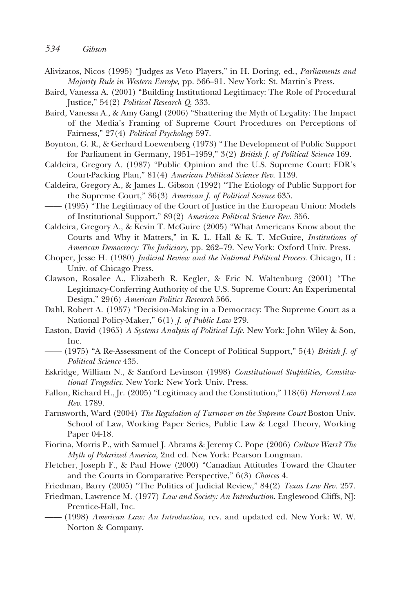- Alivizatos, Nicos (1995) "Judges as Veto Players," in H. Doring, ed., *Parliaments and Majority Rule in Western Europe*, pp. 566–91. New York: St. Martin's Press.
- Baird, Vanessa A. (2001) "Building Institutional Legitimacy: The Role of Procedural Justice," 54(2) *Political Research Q*. 333.
- Baird, Vanessa A., & Amy Gangl (2006) "Shattering the Myth of Legality: The Impact of the Media's Framing of Supreme Court Procedures on Perceptions of Fairness," 27(4) *Political Psychology* 597.
- Boynton, G. R., & Gerhard Loewenberg (1973) "The Development of Public Support for Parliament in Germany, 1951–1959," 3(2) *British J. of Political Science* 169.
- Caldeira, Gregory A. (1987) "Public Opinion and the U.S. Supreme Court: FDR's Court-Packing Plan," 81(4) *American Political Science Rev*. 1139.
- Caldeira, Gregory A., & James L. Gibson (1992) "The Etiology of Public Support for the Supreme Court," 36(3) *American J. of Political Science* 635.
- —— (1995) "The Legitimacy of the Court of Justice in the European Union: Models of Institutional Support," 89(2) *American Political Science Rev*. 356.
- Caldeira, Gregory A., & Kevin T. McGuire (2005) "What Americans Know about the Courts and Why it Matters," in K. L. Hall & K. T. McGuire, *Institutions of American Democracy: The Judiciary*, pp. 262–79. New York: Oxford Univ. Press.
- Choper, Jesse H. (1980) *Judicial Review and the National Political Process*. Chicago, IL: Univ. of Chicago Press.
- Clawson, Rosalee A., Elizabeth R. Kegler, & Eric N. Waltenburg (2001) "The Legitimacy-Conferring Authority of the U.S. Supreme Court: An Experimental Design," 29(6) *American Politics Research* 566.
- Dahl, Robert A. (1957) "Decision-Making in a Democracy: The Supreme Court as a National Policy-Maker," 6(1) *J. of Public Law* 279.
- Easton, David (1965) *A Systems Analysis of Political Life*. New York: John Wiley & Son, Inc.
- —— (1975) "A Re-Assessment of the Concept of Political Support," 5(4) *British J. of Political Science* 435.
- Eskridge, William N., & Sanford Levinson (1998) *Constitutional Stupidities, Constitutional Tragedies*. New York: New York Univ. Press.
- Fallon, Richard H., Jr. (2005) "Legitimacy and the Constitution," 118(6) *Harvard Law Rev*. 1789.
- Farnsworth, Ward (2004) *The Regulation of Turnover on the Supreme Court* Boston Univ. School of Law, Working Paper Series, Public Law & Legal Theory, Working Paper 04-18.
- Fiorina, Morris P., with Samuel J. Abrams & Jeremy C. Pope (2006) *Culture Wars? The Myth of Polarized America*, 2nd ed. New York: Pearson Longman.
- Fletcher, Joseph F., & Paul Howe (2000) "Canadian Attitudes Toward the Charter and the Courts in Comparative Perspective," 6(3) *Choices* 4.
- Friedman, Barry (2005) "The Politics of Judicial Review," 84(2) *Texas Law Rev*. 257.
- Friedman, Lawrence M. (1977) *Law and Society: An Introduction*. Englewood Cliffs, NJ: Prentice-Hall, Inc.
- —— (1998) *American Law: An Introduction*, rev. and updated ed. New York: W. W. Norton & Company.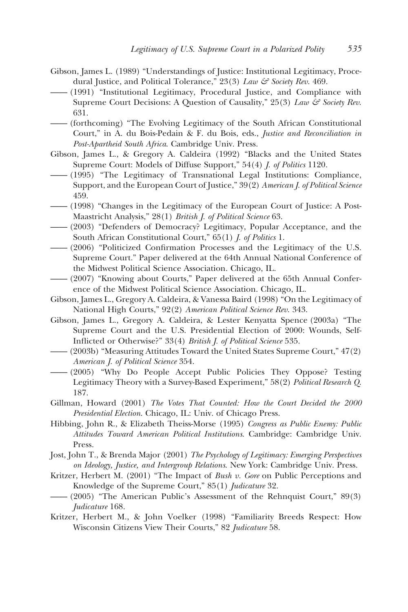- Gibson, James L. (1989) "Understandings of Justice: Institutional Legitimacy, Procedural Justice, and Political Tolerance," 23(3) *Law & Society Rev*. 469.
- —— (1991) "Institutional Legitimacy, Procedural Justice, and Compliance with Supreme Court Decisions: A Question of Causality," 25(3) *Law & Society Rev*. 631.
- —— (forthcoming) "The Evolving Legitimacy of the South African Constitutional Court," in A. du Bois-Pedain & F. du Bois, eds., *Justice and Reconciliation in Post-Apartheid South Africa*. Cambridge Univ. Press.
- Gibson, James L., & Gregory A. Caldeira (1992) "Blacks and the United States Supreme Court: Models of Diffuse Support," 54(4) *J. of Politics* 1120.
- —— (1995) "The Legitimacy of Transnational Legal Institutions: Compliance, Support, and the European Court of Justice," 39(2) *American J. of Political Science* 459.
- —— (1998) "Changes in the Legitimacy of the European Court of Justice: A Post-Maastricht Analysis," 28(1) *British J. of Political Science* 63.
- —— (2003) "Defenders of Democracy? Legitimacy, Popular Acceptance, and the South African Constitutional Court," 65(1) *J. of Politics* 1.
- —— (2006) "Politicized Confirmation Processes and the Legitimacy of the U.S. Supreme Court." Paper delivered at the 64th Annual National Conference of the Midwest Political Science Association. Chicago, IL.
- —— (2007) "Knowing about Courts," Paper delivered at the 65th Annual Conference of the Midwest Political Science Association. Chicago, IL.
- Gibson, James L., Gregory A. Caldeira, & Vanessa Baird (1998) "On the Legitimacy of National High Courts," 92(2) *American Political Science Rev*. 343.
- Gibson, James L., Gregory A. Caldeira, & Lester Kenyatta Spence (2003a) "The Supreme Court and the U.S. Presidential Election of 2000: Wounds, Self-Inflicted or Otherwise?" 33(4) *British J. of Political Science* 535.
- —— (2003b) "Measuring Attitudes Toward the United States Supreme Court," 47(2) *American J. of Political Science* 354.
- —— (2005) "Why Do People Accept Public Policies They Oppose? Testing Legitimacy Theory with a Survey-Based Experiment," 58(2) *Political Research Q*. 187.
- Gillman, Howard (2001) *The Votes That Counted: How the Court Decided the 2000 Presidential Election*. Chicago, IL: Univ. of Chicago Press.
- Hibbing, John R., & Elizabeth Theiss-Morse (1995) *Congress as Public Enemy: Public Attitudes Toward American Political Institutions*. Cambridge: Cambridge Univ. Press.
- Jost, John T., & Brenda Major (2001) *The Psychology of Legitimacy: Emerging Perspectives on Ideology, Justice, and Intergroup Relations*. New York: Cambridge Univ. Press.
- Kritzer, Herbert M. (2001) "The Impact of *Bush v. Gore* on Public Perceptions and Knowledge of the Supreme Court," 85(1) *Judicature* 32.
- $-$  (2005) "The American Public's Assessment of the Rehnquist Court," 89(3) *Judicature* 168.
- Kritzer, Herbert M., & John Voelker (1998) "Familiarity Breeds Respect: How Wisconsin Citizens View Their Courts," 82 *Judicature* 58.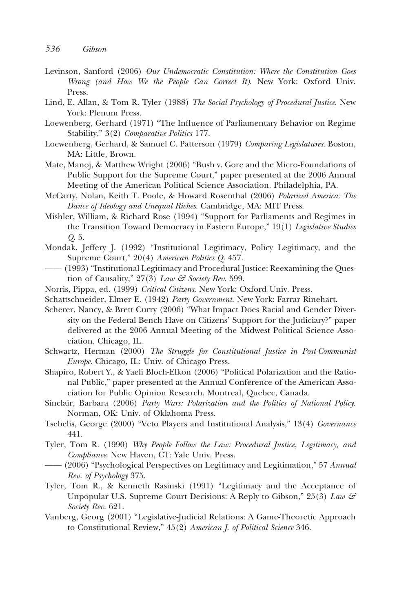- Levinson, Sanford (2006) *Our Undemocratic Constitution: Where the Constitution Goes Wrong (and How We the People Can Correct It)*. New York: Oxford Univ. Press.
- Lind, E. Allan, & Tom R. Tyler (1988) *The Social Psychology of Procedural Justice*. New York: Plenum Press.
- Loewenberg, Gerhard (1971) "The Influence of Parliamentary Behavior on Regime Stability," 3(2) *Comparative Politics* 177.
- Loewenberg, Gerhard, & Samuel C. Patterson (1979) *Comparing Legislatures*. Boston, MA: Little, Brown.
- Mate, Manoj, & Matthew Wright (2006) "Bush v. Gore and the Micro-Foundations of Public Support for the Supreme Court," paper presented at the 2006 Annual Meeting of the American Political Science Association. Philadelphia, PA.
- McCarty, Nolan, Keith T. Poole, & Howard Rosenthal (2006) *Polarized America: The Dance of Ideology and Unequal Riches*. Cambridge, MA: MIT Press.
- Mishler, William, & Richard Rose (1994) "Support for Parliaments and Regimes in the Transition Toward Democracy in Eastern Europe," 19(1) *Legislative Studies Q*. 5.
- Mondak, Jeffery J. (1992) "Institutional Legitimacy, Policy Legitimacy, and the Supreme Court," 20(4) *American Politics Q*. 457.
- —— (1993) "Institutional Legitimacy and Procedural Justice: Reexamining the Question of Causality," 27(3) *Law & Society Rev*. 599.
- Norris, Pippa, ed. (1999) *Critical Citizens*. New York: Oxford Univ. Press.
- Schattschneider, Elmer E. (1942) *Party Government*. New York: Farrar Rinehart.
- Scherer, Nancy, & Brett Curry (2006) "What Impact Does Racial and Gender Diversity on the Federal Bench Have on Citizens' Support for the Judiciary?" paper delivered at the 2006 Annual Meeting of the Midwest Political Science Association. Chicago, IL.
- Schwartz, Herman (2000) *The Struggle for Constitutional Justice in Post-Communist Europe*. Chicago, IL: Univ. of Chicago Press.
- Shapiro, Robert Y., & Yaeli Bloch-Elkon (2006) "Political Polarization and the Rational Public," paper presented at the Annual Conference of the American Association for Public Opinion Research. Montreal, Quebec, Canada.
- Sinclair, Barbara (2006) *Party Wars: Polarization and the Politics of National Policy*. Norman, OK: Univ. of Oklahoma Press.
- Tsebelis, George (2000) "Veto Players and Institutional Analysis," 13(4) *Governance* 441.
- Tyler, Tom R. (1990) *Why People Follow the Law: Procedural Justice, Legitimacy, and Compliance*. New Haven, CT: Yale Univ. Press.
- —— (2006) "Psychological Perspectives on Legitimacy and Legitimation," 57 *Annual Rev. of Psychology* 375.
- Tyler, Tom R., & Kenneth Rasinski (1991) "Legitimacy and the Acceptance of Unpopular U.S. Supreme Court Decisions: A Reply to Gibson," 25(3) *Law & Society Rev*. 621.
- Vanberg, Georg (2001) "Legislative-Judicial Relations: A Game-Theoretic Approach to Constitutional Review," 45(2) *American J. of Political Science* 346.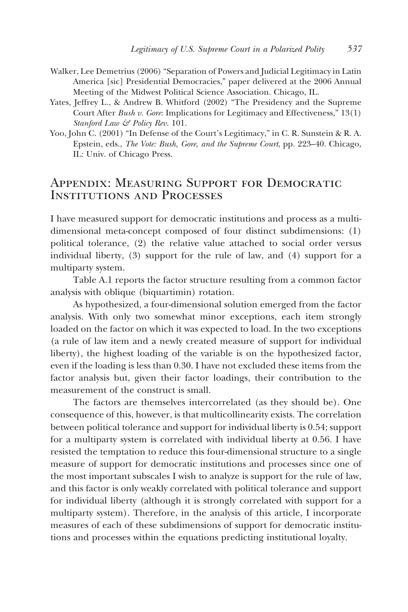- Walker, Lee Demetrius (2006) "Separation of Powers and Judicial Legitimacy in Latin America [sic] Presidential Democracies," paper delivered at the 2006 Annual Meeting of the Midwest Political Science Association. Chicago, IL.
- Yates, Jeffrey L., & Andrew B. Whitford (2002) "The Presidency and the Supreme Court After *Bush v. Gore*: Implications for Legitimacy and Effectiveness," 13(1) *Stanford Law & Policy Rev*. 101.
- Yoo, John C. (2001) "In Defense of the Court's Legitimacy," in C. R. Sunstein & R. A. Epstein, eds., *The Vote: Bush, Gore, and the Supreme Court*, pp. 223–40. Chicago, IL: Univ. of Chicago Press.

# Appendix: Measuring Support for Democratic Institutions and Processes

I have measured support for democratic institutions and process as a multidimensional meta-concept composed of four distinct subdimensions: (1) political tolerance, (2) the relative value attached to social order versus individual liberty, (3) support for the rule of law, and (4) support for a multiparty system.

Table A.1 reports the factor structure resulting from a common factor analysis with oblique (biquartimin) rotation.

As hypothesized, a four-dimensional solution emerged from the factor analysis. With only two somewhat minor exceptions, each item strongly loaded on the factor on which it was expected to load. In the two exceptions (a rule of law item and a newly created measure of support for individual liberty), the highest loading of the variable is on the hypothesized factor, even if the loading is less than 0.30. I have not excluded these items from the factor analysis but, given their factor loadings, their contribution to the measurement of the construct is small.

The factors are themselves intercorrelated (as they should be). One consequence of this, however, is that multicollinearity exists. The correlation between political tolerance and support for individual liberty is 0.54; support for a multiparty system is correlated with individual liberty at 0.56. I have resisted the temptation to reduce this four-dimensional structure to a single measure of support for democratic institutions and processes since one of the most important subscales I wish to analyze is support for the rule of law, and this factor is only weakly correlated with political tolerance and support for individual liberty (although it is strongly correlated with support for a multiparty system). Therefore, in the analysis of this article, I incorporate measures of each of these subdimensions of support for democratic institutions and processes within the equations predicting institutional loyalty.